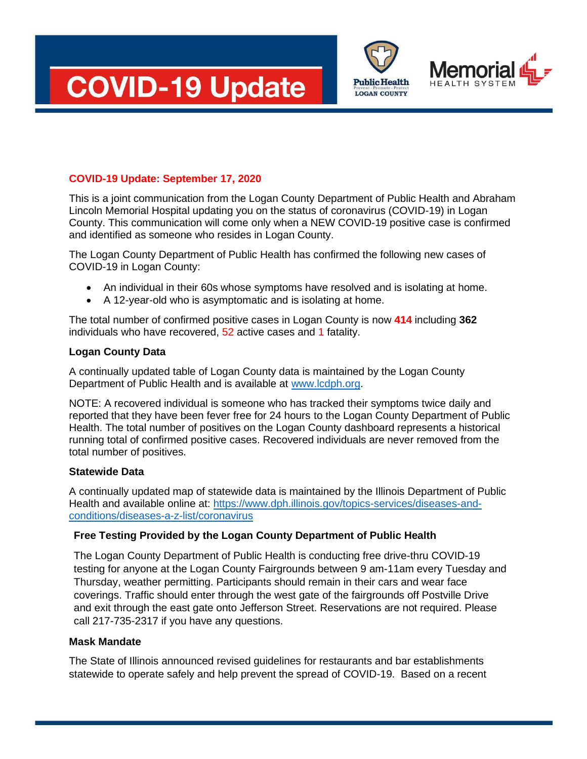



**LOGAN COUNTY** 

# **COVID-19 Update: September 17, 2020**

This is a joint communication from the Logan County Department of Public Health and Abraham Lincoln Memorial Hospital updating you on the status of coronavirus (COVID-19) in Logan County. This communication will come only when a NEW COVID-19 positive case is confirmed and identified as someone who resides in Logan County.

The Logan County Department of Public Health has confirmed the following new cases of COVID-19 in Logan County:

- An individual in their 60s whose symptoms have resolved and is isolating at home.
- A 12-year-old who is asymptomatic and is isolating at home.

The total number of confirmed positive cases in Logan County is now **414** including **362** individuals who have recovered, 52 active cases and 1 fatality.

### **Logan County Data**

A continually updated table of Logan County data is maintained by the Logan County Department of Public Health and is available at [www.lcdph.org.](http://www.lcdph.org/)

NOTE: A recovered individual is someone who has tracked their symptoms twice daily and reported that they have been fever free for 24 hours to the Logan County Department of Public Health. The total number of positives on the Logan County dashboard represents a historical running total of confirmed positive cases. Recovered individuals are never removed from the total number of positives.

### **Statewide Data**

A continually updated map of statewide data is maintained by the Illinois Department of Public Health and available online at: [https://www.dph.illinois.gov/topics-services/diseases-and](https://www.dph.illinois.gov/topics-services/diseases-and-conditions/diseases-a-z-list/coronavirus)[conditions/diseases-a-z-list/coronavirus](https://www.dph.illinois.gov/topics-services/diseases-and-conditions/diseases-a-z-list/coronavirus)

## **Free Testing Provided by the Logan County Department of Public Health**

The Logan County Department of Public Health is conducting free drive-thru COVID-19 testing for anyone at the Logan County Fairgrounds between 9 am-11am every Tuesday and Thursday, weather permitting. Participants should remain in their cars and wear face coverings. Traffic should enter through the west gate of the fairgrounds off Postville Drive and exit through the east gate onto Jefferson Street. Reservations are not required. Please call 217-735-2317 if you have any questions.

### **Mask Mandate**

The State of Illinois announced revised guidelines for restaurants and bar establishments statewide to operate safely and help prevent the spread of COVID-19. Based on a recent